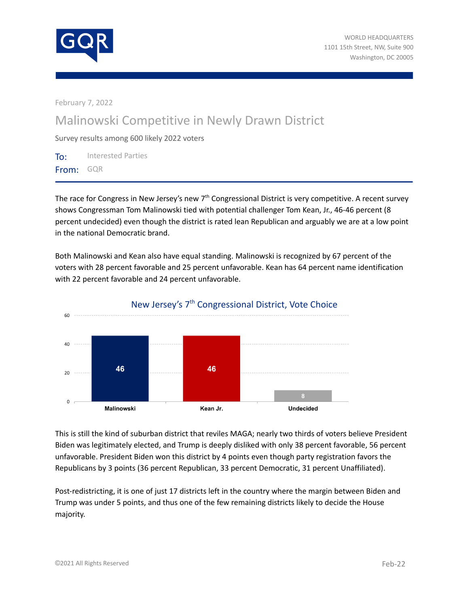

February 7, 2022

## Malinowski Competitive in Newly Drawn District

Survey results among 600 likely 2022 voters

To: Interested Parties From: GQR

The race for Congress in New Jersey's new 7<sup>th</sup> Congressional District is very competitive. A recent survey shows Congressman Tom Malinowski tied with potential challenger Tom Kean, Jr., 46-46 percent (8 percent undecided) even though the district is rated lean Republican and arguably we are at a low point in the national Democratic brand.

Both Malinowski and Kean also have equal standing. Malinowski is recognized by 67 percent of the voters with 28 percent favorable and 25 percent unfavorable. Kean has 64 percent name identification with 22 percent favorable and 24 percent unfavorable.



## This is still the kind of suburban district that reviles MAGA; nearly two thirds of voters believe President Biden was legitimately elected, and Trump is deeply disliked with only 38 percent favorable, 56 percent unfavorable. President Biden won this district by 4 points even though party registration favors the Republicans by 3 points (36 percent Republican, 33 percent Democratic, 31 percent Unaffiliated).

Post-redistricting, it is one of just 17 districts left in the country where the margin between Biden and Trump was under 5 points, and thus one of the few remaining districts likely to decide the House majority.